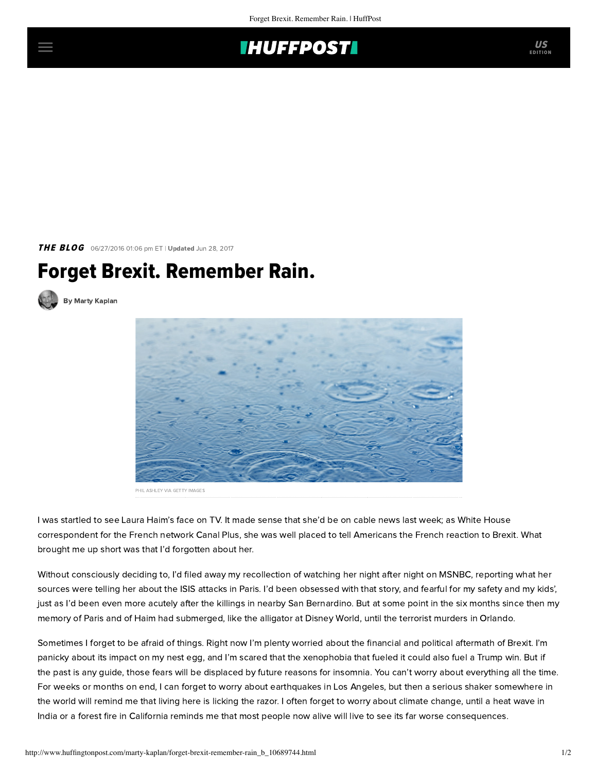

THE BLOG 06/27/2016 01:06 pm ET | Updated Jun 28, 2017

## Forget Brexit. Remember Rain.



[By Marty Kaplan](http://www.huffingtonpost.com/author/marty-kaplan)



PHIL ASHLEY VIA GETTY IMAGES

I was startled to see Laura Haim's face on TV. It made sense that she'd be on cable news last week; as White House correspondent for the French network Canal Plus, she was well placed to tell Americans the French reaction to Brexit. What brought me up short was that I'd forgotten about her.

Without consciously deciding to, I'd filed away my recollection of watching her night after night on MSNBC, reporting what her sources were telling her about the ISIS attacks in Paris. I'd been obsessed with that story, and fearful for my safety and my kids', just as I'd been even more acutely after the killings in nearby San Bernardino. But at some point in the six months since then my memory of Paris and of Haim had submerged, like the alligator at Disney World, until the terrorist murders in Orlando.

Sometimes I forget to be afraid of things. Right now I'm plenty worried about the financial and political aftermath of Brexit. I'm panicky about its impact on my nest egg, and I'm scared that the xenophobia that fueled it could also fuel a Trump win. But if the past is any guide, those fears will be displaced by future reasons for insomnia. You can't worry about everything all the time. For weeks or months on end, I can forget to worry about earthquakes in Los Angeles, but then a serious shaker somewhere in the world will remind me that living here is licking the razor. I often forget to worry about climate change, until a heat wave in India or a forest fire in California reminds me that most people now alive will live to see its far worse consequences.